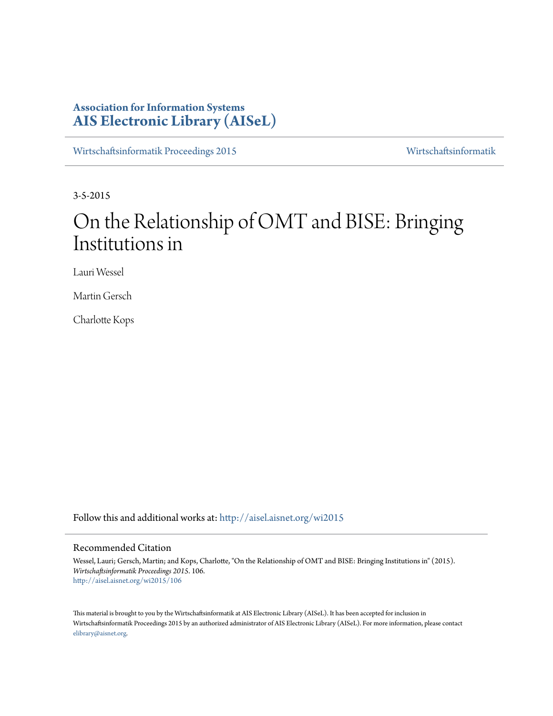# **Association for Information Systems [AIS Electronic Library \(AISeL\)](http://aisel.aisnet.org?utm_source=aisel.aisnet.org%2Fwi2015%2F106&utm_medium=PDF&utm_campaign=PDFCoverPages)**

[Wirtschaftsinformatik Proceedings 2015](http://aisel.aisnet.org/wi2015?utm_source=aisel.aisnet.org%2Fwi2015%2F106&utm_medium=PDF&utm_campaign=PDFCoverPages) [Wirtschaftsinformatik](http://aisel.aisnet.org/wi?utm_source=aisel.aisnet.org%2Fwi2015%2F106&utm_medium=PDF&utm_campaign=PDFCoverPages)

3-5-2015

# On the Relationship of OMT and BISE: Bringing Institutions in

Lauri Wessel

Martin Gersch

Charlotte Kops

Follow this and additional works at: [http://aisel.aisnet.org/wi2015](http://aisel.aisnet.org/wi2015?utm_source=aisel.aisnet.org%2Fwi2015%2F106&utm_medium=PDF&utm_campaign=PDFCoverPages)

# Recommended Citation

Wessel, Lauri; Gersch, Martin; and Kops, Charlotte, "On the Relationship of OMT and BISE: Bringing Institutions in" (2015). *Wirtschaftsinformatik Proceedings 2015*. 106. [http://aisel.aisnet.org/wi2015/106](http://aisel.aisnet.org/wi2015/106?utm_source=aisel.aisnet.org%2Fwi2015%2F106&utm_medium=PDF&utm_campaign=PDFCoverPages)

This material is brought to you by the Wirtschaftsinformatik at AIS Electronic Library (AISeL). It has been accepted for inclusion in Wirtschaftsinformatik Proceedings 2015 by an authorized administrator of AIS Electronic Library (AISeL). For more information, please contact [elibrary@aisnet.org.](mailto:elibrary@aisnet.org%3E)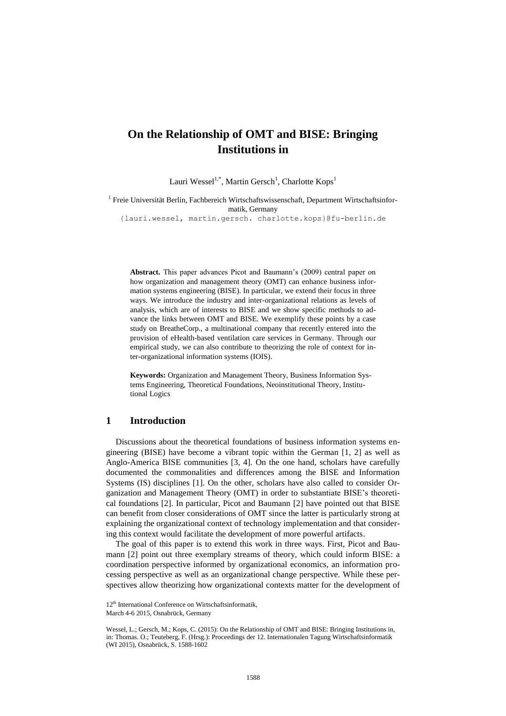# **On the Relationship of OMT and BISE: Bringing Institutions in**

Lauri Wessel<sup>1,\*</sup>, Martin Gersch<sup>1</sup>, Charlotte Kops<sup>1</sup>

<sup>1</sup> Freie Universität Berlin, Fachbereich Wirtschaftswissenschaft, Department Wirtschaftsinformatik, Germany

{lauri.wessel, martin.gersch. charlotte.kops}@fu-berlin.de

**Abstract.** This paper advances Picot and Baumann's (2009) central paper on how organization and management theory (OMT) can enhance business information systems engineering (BISE). In particular, we extend their focus in three ways. We introduce the industry and inter-organizational relations as levels of analysis, which are of interests to BISE and we show specific methods to advance the links between OMT and BISE. We exemplify these points by a case study on BreatheCorp., a multinational company that recently entered into the provision of eHealth-based ventilation care services in Germany. Through our empirical study, we can also contribute to theorizing the role of context for inter-organizational information systems (IOIS).

**Keywords:** Organization and Management Theory, Business Information Systems Engineering, Theoretical Foundations, Neoinstitutional Theory, Institutional Logics

# **1 Introduction**

Discussions about the theoretical foundations of business information systems engineering (BISE) have become a vibrant topic within the German [1, 2] as well as Anglo-America BISE communities [3, 4]. On the one hand, scholars have carefully documented the commonalities and differences among the BISE and Information Systems (IS) disciplines [1]. On the other, scholars have also called to consider Organization and Management Theory (OMT) in order to substantiate BISE's theoretical foundations [2]. In particular, Picot and Baumann [2] have pointed out that BISE can benefit from closer considerations of OMT since the latter is particularly strong at explaining the organizational context of technology implementation and that considering this context would facilitate the development of more powerful artifacts.

The goal of this paper is to extend this work in three ways. First, Picot and Baumann [2] point out three exemplary streams of theory, which could inform BISE: a coordination perspective informed by organizational economics, an information processing perspective as well as an organizational change perspective. While these perspectives allow theorizing how organizational contexts matter for the development of

<sup>12&</sup>lt;sup>th</sup> International Conference on Wirtschaftsinformatik,

March 4-6 2015, Osnabrück, Germany

Wessel, L.; Gersch, M.; Kops, C. (2015): On the Relationship of OMT and BISE: Bringing Institutions in, in: Thomas. O.; Teuteberg, F. (Hrsg.): Proceedings der 12. Internationalen Tagung Wirtschaftsinformatik (WI 2015), Osnabrück, S. 1588-1602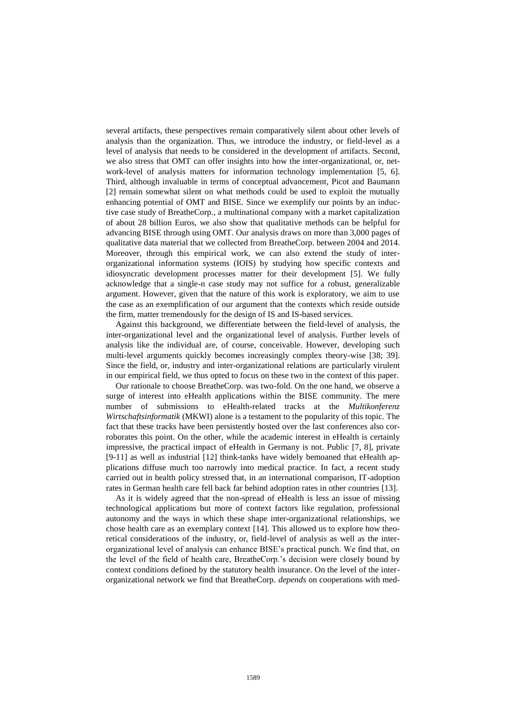several artifacts, these perspectives remain comparatively silent about other levels of analysis than the organization. Thus, we introduce the industry, or field-level as a level of analysis that needs to be considered in the development of artifacts. Second, we also stress that OMT can offer insights into how the inter-organizational, or, network-level of analysis matters for information technology implementation [5, 6]. Third, although invaluable in terms of conceptual advancement, Picot and Baumann [2] remain somewhat silent on what methods could be used to exploit the mutually enhancing potential of OMT and BISE. Since we exemplify our points by an inductive case study of BreatheCorp., a multinational company with a market capitalization of about 28 billion Euros, we also show that qualitative methods can be helpful for advancing BISE through using OMT. Our analysis draws on more than 3,000 pages of qualitative data material that we collected from BreatheCorp. between 2004 and 2014. Moreover, through this empirical work, we can also extend the study of interorganizational information systems (IOIS) by studying how specific contexts and idiosyncratic development processes matter for their development [5]. We fully acknowledge that a single-n case study may not suffice for a robust, generalizable argument. However, given that the nature of this work is exploratory, we aim to use the case as an exemplification of our argument that the contexts which reside outside the firm, matter tremendously for the design of IS and IS-based services.

Against this background, we differentiate between the field-level of analysis, the inter-organizational level and the organizational level of analysis. Further levels of analysis like the individual are, of course, conceivable. However, developing such multi-level arguments quickly becomes increasingly complex theory-wise [38; 39]. Since the field, or, industry and inter-organizational relations are particularly virulent in our empirical field, we thus opted to focus on these two in the context of this paper.

Our rationale to choose BreatheCorp. was two-fold. On the one hand, we observe a surge of interest into eHealth applications within the BISE community. The mere number of submissions to eHealth-related tracks at the *Multikonferenz Wirtschaftsinformatik* (MKWI) alone is a testament to the popularity of this topic. The fact that these tracks have been persistently hosted over the last conferences also corroborates this point. On the other, while the academic interest in eHealth is certainly impressive, the practical impact of eHealth in Germany is not. Public [7, 8], private [9-11] as well as industrial [12] think-tanks have widely bemoaned that eHealth applications diffuse much too narrowly into medical practice. In fact, a recent study carried out in health policy stressed that, in an international comparison, IT-adoption rates in German health care fell back far behind adoption rates in other countries [13].

As it is widely agreed that the non-spread of eHealth is less an issue of missing technological applications but more of context factors like regulation, professional autonomy and the ways in which these shape inter-organizational relationships, we chose health care as an exemplary context [14]. This allowed us to explore how theoretical considerations of the industry, or, field-level of analysis as well as the interorganizational level of analysis can enhance BISE's practical punch. We find that, on the level of the field of health care, BreatheCorp.'s decision were closely bound by context conditions defined by the statutory health insurance. On the level of the interorganizational network we find that BreatheCorp. *depends* on cooperations with med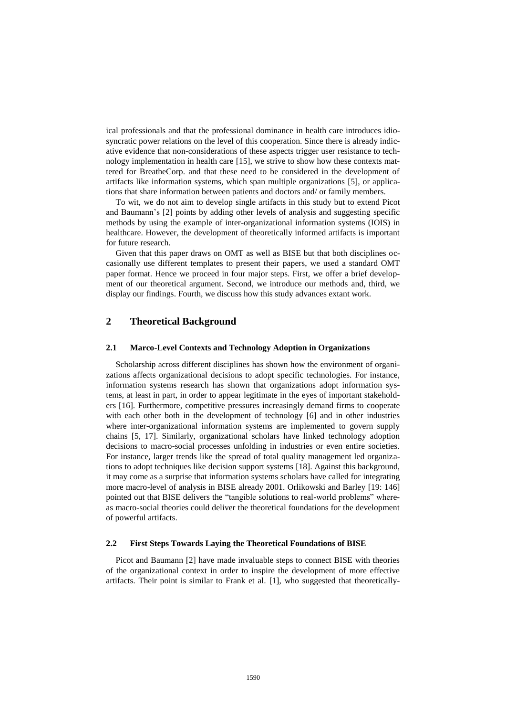ical professionals and that the professional dominance in health care introduces idiosyncratic power relations on the level of this cooperation. Since there is already indicative evidence that non-considerations of these aspects trigger user resistance to technology implementation in health care [15], we strive to show how these contexts mattered for BreatheCorp. and that these need to be considered in the development of artifacts like information systems, which span multiple organizations [5], or applications that share information between patients and doctors and/ or family members.

To wit, we do not aim to develop single artifacts in this study but to extend Picot and Baumann's [2] points by adding other levels of analysis and suggesting specific methods by using the example of inter-organizational information systems (IOIS) in healthcare. However, the development of theoretically informed artifacts is important for future research.

Given that this paper draws on OMT as well as BISE but that both disciplines occasionally use different templates to present their papers, we used a standard OMT paper format. Hence we proceed in four major steps. First, we offer a brief development of our theoretical argument. Second, we introduce our methods and, third, we display our findings. Fourth, we discuss how this study advances extant work.

# **2 Theoretical Background**

#### **2.1 Marco-Level Contexts and Technology Adoption in Organizations**

Scholarship across different disciplines has shown how the environment of organizations affects organizational decisions to adopt specific technologies. For instance, information systems research has shown that organizations adopt information systems, at least in part, in order to appear legitimate in the eyes of important stakeholders [16]. Furthermore, competitive pressures increasingly demand firms to cooperate with each other both in the development of technology [6] and in other industries where inter-organizational information systems are implemented to govern supply chains [5, 17]. Similarly, organizational scholars have linked technology adoption decisions to macro-social processes unfolding in industries or even entire societies. For instance, larger trends like the spread of total quality management led organizations to adopt techniques like decision support systems [18]. Against this background, it may come as a surprise that information systems scholars have called for integrating more macro-level of analysis in BISE already 2001. Orlikowski and Barley [19: 146] pointed out that BISE delivers the "tangible solutions to real-world problems" whereas macro-social theories could deliver the theoretical foundations for the development of powerful artifacts.

#### **2.2 First Steps Towards Laying the Theoretical Foundations of BISE**

Picot and Baumann [2] have made invaluable steps to connect BISE with theories of the organizational context in order to inspire the development of more effective artifacts. Their point is similar to Frank et al. [1], who suggested that theoretically-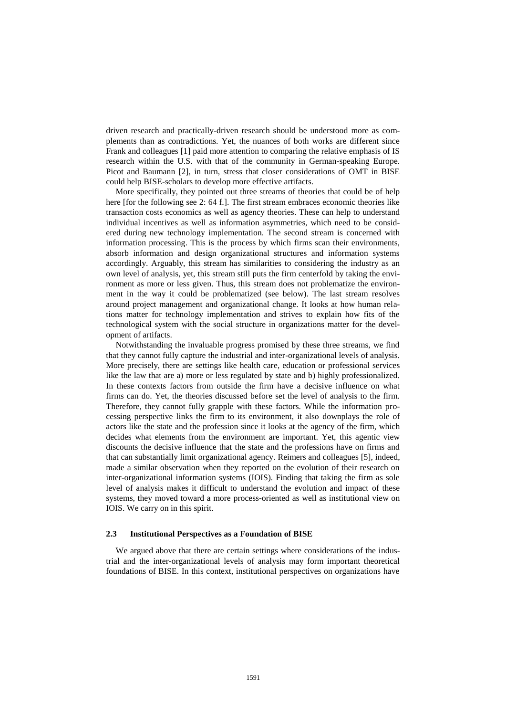driven research and practically-driven research should be understood more as complements than as contradictions. Yet, the nuances of both works are different since Frank and colleagues [1] paid more attention to comparing the relative emphasis of IS research within the U.S. with that of the community in German-speaking Europe. Picot and Baumann [2], in turn, stress that closer considerations of OMT in BISE could help BISE-scholars to develop more effective artifacts.

More specifically, they pointed out three streams of theories that could be of help here [for the following see 2: 64 f.]. The first stream embraces economic theories like transaction costs economics as well as agency theories. These can help to understand individual incentives as well as information asymmetries, which need to be considered during new technology implementation. The second stream is concerned with information processing. This is the process by which firms scan their environments, absorb information and design organizational structures and information systems accordingly. Arguably, this stream has similarities to considering the industry as an own level of analysis, yet, this stream still puts the firm centerfold by taking the environment as more or less given. Thus, this stream does not problematize the environment in the way it could be problematized (see below). The last stream resolves around project management and organizational change. It looks at how human relations matter for technology implementation and strives to explain how fits of the technological system with the social structure in organizations matter for the development of artifacts.

Notwithstanding the invaluable progress promised by these three streams, we find that they cannot fully capture the industrial and inter-organizational levels of analysis. More precisely, there are settings like health care, education or professional services like the law that are a) more or less regulated by state and b) highly professionalized. In these contexts factors from outside the firm have a decisive influence on what firms can do. Yet, the theories discussed before set the level of analysis to the firm. Therefore, they cannot fully grapple with these factors. While the information processing perspective links the firm to its environment, it also downplays the role of actors like the state and the profession since it looks at the agency of the firm, which decides what elements from the environment are important. Yet, this agentic view discounts the decisive influence that the state and the professions have on firms and that can substantially limit organizational agency. Reimers and colleagues [5], indeed, made a similar observation when they reported on the evolution of their research on inter-organizational information systems (IOIS). Finding that taking the firm as sole level of analysis makes it difficult to understand the evolution and impact of these systems, they moved toward a more process-oriented as well as institutional view on IOIS. We carry on in this spirit.

#### **2.3 Institutional Perspectives as a Foundation of BISE**

We argued above that there are certain settings where considerations of the industrial and the inter-organizational levels of analysis may form important theoretical foundations of BISE. In this context, institutional perspectives on organizations have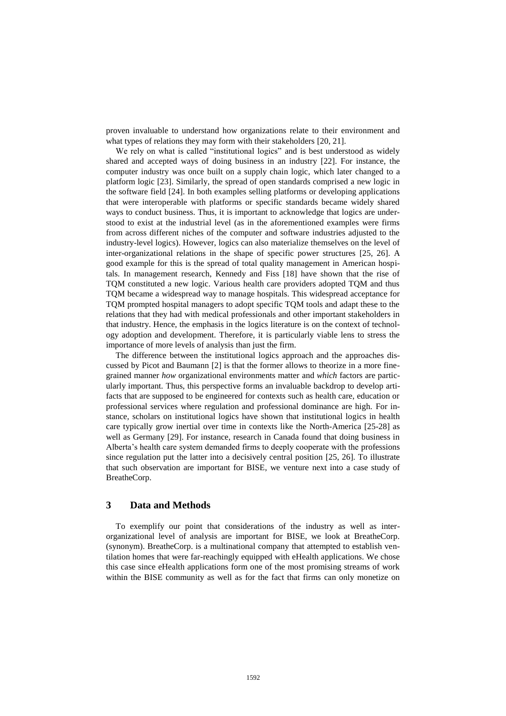proven invaluable to understand how organizations relate to their environment and what types of relations they may form with their stakeholders [20, 21].

We rely on what is called "institutional logics" and is best understood as widely shared and accepted ways of doing business in an industry [22]. For instance, the computer industry was once built on a supply chain logic, which later changed to a platform logic [23]. Similarly, the spread of open standards comprised a new logic in the software field [24]. In both examples selling platforms or developing applications that were interoperable with platforms or specific standards became widely shared ways to conduct business. Thus, it is important to acknowledge that logics are understood to exist at the industrial level (as in the aforementioned examples were firms from across different niches of the computer and software industries adjusted to the industry-level logics). However, logics can also materialize themselves on the level of inter-organizational relations in the shape of specific power structures [25, 26]. A good example for this is the spread of total quality management in American hospitals. In management research, Kennedy and Fiss [18] have shown that the rise of TQM constituted a new logic. Various health care providers adopted TQM and thus TQM became a widespread way to manage hospitals. This widespread acceptance for TQM prompted hospital managers to adopt specific TQM tools and adapt these to the relations that they had with medical professionals and other important stakeholders in that industry. Hence, the emphasis in the logics literature is on the context of technology adoption and development. Therefore, it is particularly viable lens to stress the importance of more levels of analysis than just the firm.

The difference between the institutional logics approach and the approaches discussed by Picot and Baumann [2] is that the former allows to theorize in a more finegrained manner *how* organizational environments matter and *which* factors are particularly important*.* Thus, this perspective forms an invaluable backdrop to develop artifacts that are supposed to be engineered for contexts such as health care, education or professional services where regulation and professional dominance are high. For instance, scholars on institutional logics have shown that institutional logics in health care typically grow inertial over time in contexts like the North-America [25-28] as well as Germany [29]. For instance, research in Canada found that doing business in Alberta's health care system demanded firms to deeply cooperate with the professions since regulation put the latter into a decisively central position [25, 26]. To illustrate that such observation are important for BISE, we venture next into a case study of BreatheCorp.

### **3 Data and Methods**

To exemplify our point that considerations of the industry as well as interorganizational level of analysis are important for BISE, we look at BreatheCorp. (synonym). BreatheCorp. is a multinational company that attempted to establish ventilation homes that were far-reachingly equipped with eHealth applications. We chose this case since eHealth applications form one of the most promising streams of work within the BISE community as well as for the fact that firms can only monetize on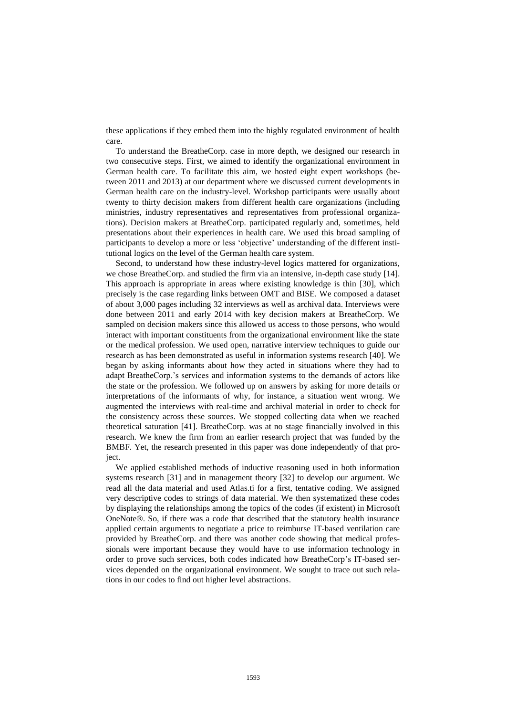these applications if they embed them into the highly regulated environment of health care.

To understand the BreatheCorp. case in more depth, we designed our research in two consecutive steps. First, we aimed to identify the organizational environment in German health care. To facilitate this aim, we hosted eight expert workshops (between 2011 and 2013) at our department where we discussed current developments in German health care on the industry-level. Workshop participants were usually about twenty to thirty decision makers from different health care organizations (including ministries, industry representatives and representatives from professional organizations). Decision makers at BreatheCorp. participated regularly and, sometimes, held presentations about their experiences in health care. We used this broad sampling of participants to develop a more or less 'objective' understanding of the different institutional logics on the level of the German health care system.

Second, to understand how these industry-level logics mattered for organizations, we chose BreatheCorp. and studied the firm via an intensive, in-depth case study [14]. This approach is appropriate in areas where existing knowledge is thin [30], which precisely is the case regarding links between OMT and BISE. We composed a dataset of about 3,000 pages including 32 interviews as well as archival data. Interviews were done between 2011 and early 2014 with key decision makers at BreatheCorp. We sampled on decision makers since this allowed us access to those persons, who would interact with important constituents from the organizational environment like the state or the medical profession. We used open, narrative interview techniques to guide our research as has been demonstrated as useful in information systems research [40]. We began by asking informants about how they acted in situations where they had to adapt BreatheCorp.'s services and information systems to the demands of actors like the state or the profession. We followed up on answers by asking for more details or interpretations of the informants of why, for instance, a situation went wrong. We augmented the interviews with real-time and archival material in order to check for the consistency across these sources. We stopped collecting data when we reached theoretical saturation [41]. BreatheCorp. was at no stage financially involved in this research. We knew the firm from an earlier research project that was funded by the BMBF. Yet, the research presented in this paper was done independently of that project.

We applied established methods of inductive reasoning used in both information systems research [31] and in management theory [32] to develop our argument. We read all the data material and used Atlas.ti for a first, tentative coding. We assigned very descriptive codes to strings of data material. We then systematized these codes by displaying the relationships among the topics of the codes (if existent) in Microsoft OneNote®. So, if there was a code that described that the statutory health insurance applied certain arguments to negotiate a price to reimburse IT-based ventilation care provided by BreatheCorp. and there was another code showing that medical professionals were important because they would have to use information technology in order to prove such services, both codes indicated how BreatheCorp's IT-based services depended on the organizational environment. We sought to trace out such relations in our codes to find out higher level abstractions.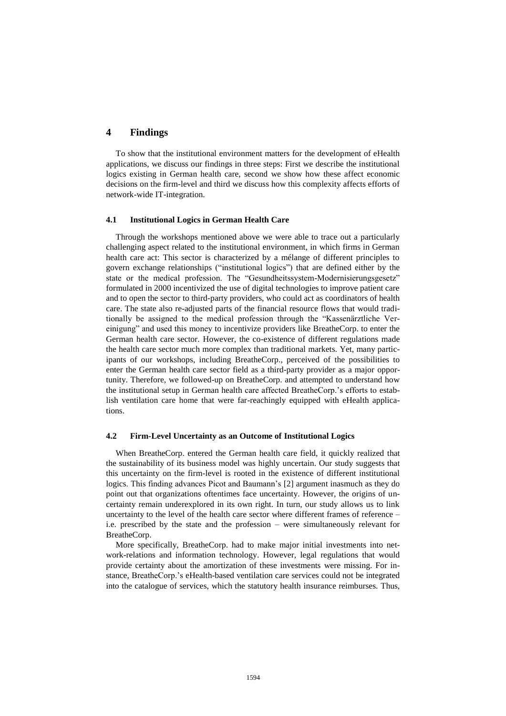# **4 Findings**

To show that the institutional environment matters for the development of eHealth applications, we discuss our findings in three steps: First we describe the institutional logics existing in German health care, second we show how these affect economic decisions on the firm-level and third we discuss how this complexity affects efforts of network-wide IT-integration.

#### **4.1 Institutional Logics in German Health Care**

Through the workshops mentioned above we were able to trace out a particularly challenging aspect related to the institutional environment, in which firms in German health care act: This sector is characterized by a mélange of different principles to govern exchange relationships ("institutional logics") that are defined either by the state or the medical profession. The "Gesundheitssystem-Modernisierungsgesetz" formulated in 2000 incentivized the use of digital technologies to improve patient care and to open the sector to third-party providers, who could act as coordinators of health care. The state also re-adjusted parts of the financial resource flows that would traditionally be assigned to the medical profession through the "Kassenärztliche Vereinigung" and used this money to incentivize providers like BreatheCorp. to enter the German health care sector. However, the co-existence of different regulations made the health care sector much more complex than traditional markets. Yet, many participants of our workshops, including BreatheCorp., perceived of the possibilities to enter the German health care sector field as a third-party provider as a major opportunity. Therefore, we followed-up on BreatheCorp. and attempted to understand how the institutional setup in German health care affected BreatheCorp.'s efforts to establish ventilation care home that were far-reachingly equipped with eHealth applications.

#### **4.2 Firm-Level Uncertainty as an Outcome of Institutional Logics**

When BreatheCorp. entered the German health care field, it quickly realized that the sustainability of its business model was highly uncertain. Our study suggests that this uncertainty on the firm-level is rooted in the existence of different institutional logics. This finding advances Picot and Baumann's [2] argument inasmuch as they do point out that organizations oftentimes face uncertainty. However, the origins of uncertainty remain underexplored in its own right. In turn, our study allows us to link uncertainty to the level of the health care sector where different frames of reference – i.e. prescribed by the state and the profession – were simultaneously relevant for BreatheCorp.

More specifically, BreatheCorp. had to make major initial investments into network-relations and information technology. However, legal regulations that would provide certainty about the amortization of these investments were missing. For instance, BreatheCorp.'s eHealth-based ventilation care services could not be integrated into the catalogue of services, which the statutory health insurance reimburses. Thus,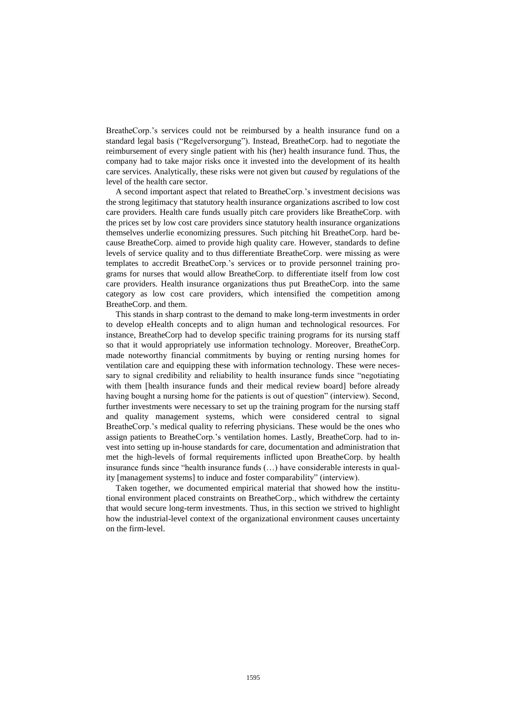BreatheCorp.'s services could not be reimbursed by a health insurance fund on a standard legal basis ("Regelversorgung"). Instead, BreatheCorp. had to negotiate the reimbursement of every single patient with his (her) health insurance fund. Thus, the company had to take major risks once it invested into the development of its health care services. Analytically, these risks were not given but *caused* by regulations of the level of the health care sector.

A second important aspect that related to BreatheCorp.'s investment decisions was the strong legitimacy that statutory health insurance organizations ascribed to low cost care providers. Health care funds usually pitch care providers like BreatheCorp. with the prices set by low cost care providers since statutory health insurance organizations themselves underlie economizing pressures. Such pitching hit BreatheCorp. hard because BreatheCorp. aimed to provide high quality care. However, standards to define levels of service quality and to thus differentiate BreatheCorp. were missing as were templates to accredit BreatheCorp.'s services or to provide personnel training programs for nurses that would allow BreatheCorp. to differentiate itself from low cost care providers. Health insurance organizations thus put BreatheCorp. into the same category as low cost care providers, which intensified the competition among BreatheCorp. and them.

This stands in sharp contrast to the demand to make long-term investments in order to develop eHealth concepts and to align human and technological resources. For instance, BreatheCorp had to develop specific training programs for its nursing staff so that it would appropriately use information technology. Moreover, BreatheCorp. made noteworthy financial commitments by buying or renting nursing homes for ventilation care and equipping these with information technology. These were necessary to signal credibility and reliability to health insurance funds since "negotiating with them [health insurance funds and their medical review board] before already having bought a nursing home for the patients is out of question" (interview). Second, further investments were necessary to set up the training program for the nursing staff and quality management systems, which were considered central to signal BreatheCorp.'s medical quality to referring physicians. These would be the ones who assign patients to BreatheCorp.'s ventilation homes. Lastly, BreatheCorp. had to invest into setting up in-house standards for care, documentation and administration that met the high-levels of formal requirements inflicted upon BreatheCorp. by health insurance funds since "health insurance funds (…) have considerable interests in quality [management systems] to induce and foster comparability" (interview).

Taken together, we documented empirical material that showed how the institutional environment placed constraints on BreatheCorp., which withdrew the certainty that would secure long-term investments. Thus, in this section we strived to highlight how the industrial-level context of the organizational environment causes uncertainty on the firm-level.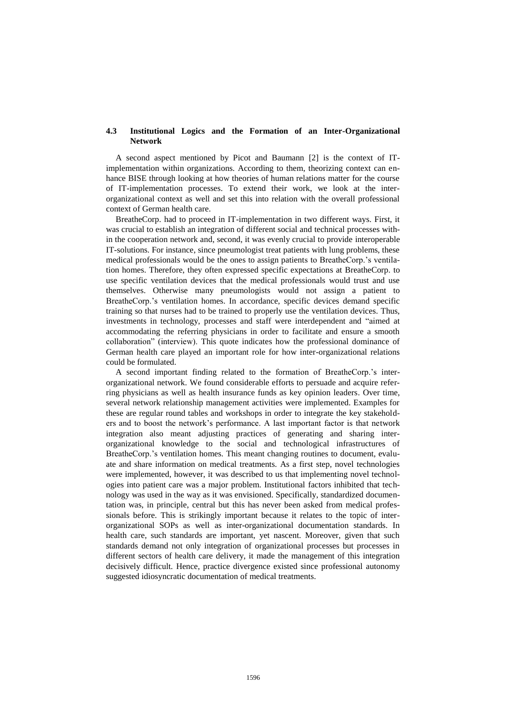#### **4.3 Institutional Logics and the Formation of an Inter-Organizational Network**

A second aspect mentioned by Picot and Baumann [2] is the context of ITimplementation within organizations. According to them, theorizing context can enhance BISE through looking at how theories of human relations matter for the course of IT-implementation processes. To extend their work, we look at the interorganizational context as well and set this into relation with the overall professional context of German health care.

BreatheCorp. had to proceed in IT-implementation in two different ways. First, it was crucial to establish an integration of different social and technical processes within the cooperation network and, second, it was evenly crucial to provide interoperable IT-solutions. For instance, since pneumologist treat patients with lung problems, these medical professionals would be the ones to assign patients to BreatheCorp.'s ventilation homes. Therefore, they often expressed specific expectations at BreatheCorp. to use specific ventilation devices that the medical professionals would trust and use themselves. Otherwise many pneumologists would not assign a patient to BreatheCorp.'s ventilation homes. In accordance, specific devices demand specific training so that nurses had to be trained to properly use the ventilation devices. Thus, investments in technology, processes and staff were interdependent and "aimed at accommodating the referring physicians in order to facilitate and ensure a smooth collaboration" (interview). This quote indicates how the professional dominance of German health care played an important role for how inter-organizational relations could be formulated.

A second important finding related to the formation of BreatheCorp.'s interorganizational network. We found considerable efforts to persuade and acquire referring physicians as well as health insurance funds as key opinion leaders. Over time, several network relationship management activities were implemented. Examples for these are regular round tables and workshops in order to integrate the key stakeholders and to boost the network's performance. A last important factor is that network integration also meant adjusting practices of generating and sharing interorganizational knowledge to the social and technological infrastructures of BreatheCorp.'s ventilation homes. This meant changing routines to document, evaluate and share information on medical treatments. As a first step, novel technologies were implemented, however, it was described to us that implementing novel technologies into patient care was a major problem. Institutional factors inhibited that technology was used in the way as it was envisioned. Specifically, standardized documentation was, in principle, central but this has never been asked from medical professionals before. This is strikingly important because it relates to the topic of interorganizational SOPs as well as inter-organizational documentation standards. In health care, such standards are important, yet nascent. Moreover, given that such standards demand not only integration of organizational processes but processes in different sectors of health care delivery, it made the management of this integration decisively difficult. Hence, practice divergence existed since professional autonomy suggested idiosyncratic documentation of medical treatments.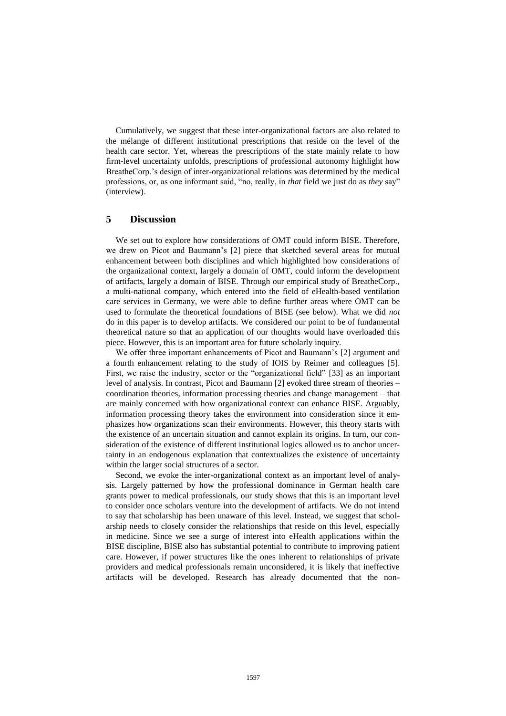Cumulatively, we suggest that these inter-organizational factors are also related to the mélange of different institutional prescriptions that reside on the level of the health care sector. Yet, whereas the prescriptions of the state mainly relate to how firm-level uncertainty unfolds, prescriptions of professional autonomy highlight how BreatheCorp.'s design of inter-organizational relations was determined by the medical professions, or, as one informant said, "no, really, in *that* field we just do as *they* say" (interview).

# **5 Discussion**

We set out to explore how considerations of OMT could inform BISE. Therefore, we drew on Picot and Baumann's [2] piece that sketched several areas for mutual enhancement between both disciplines and which highlighted how considerations of the organizational context, largely a domain of OMT, could inform the development of artifacts, largely a domain of BISE. Through our empirical study of BreatheCorp., a multi-national company, which entered into the field of eHealth-based ventilation care services in Germany, we were able to define further areas where OMT can be used to formulate the theoretical foundations of BISE (see below). What we did *not* do in this paper is to develop artifacts. We considered our point to be of fundamental theoretical nature so that an application of our thoughts would have overloaded this piece. However, this is an important area for future scholarly inquiry.

We offer three important enhancements of Picot and Baumann's [2] argument and a fourth enhancement relating to the study of IOIS by Reimer and colleagues [5]. First, we raise the industry, sector or the "organizational field" [33] as an important level of analysis. In contrast, Picot and Baumann [2] evoked three stream of theories – coordination theories, information processing theories and change management – that are mainly concerned with how organizational context can enhance BISE. Arguably, information processing theory takes the environment into consideration since it emphasizes how organizations scan their environments. However, this theory starts with the existence of an uncertain situation and cannot explain its origins. In turn, our consideration of the existence of different institutional logics allowed us to anchor uncertainty in an endogenous explanation that contextualizes the existence of uncertainty within the larger social structures of a sector.

Second, we evoke the inter-organizational context as an important level of analysis. Largely patterned by how the professional dominance in German health care grants power to medical professionals, our study shows that this is an important level to consider once scholars venture into the development of artifacts. We do not intend to say that scholarship has been unaware of this level. Instead, we suggest that scholarship needs to closely consider the relationships that reside on this level, especially in medicine. Since we see a surge of interest into eHealth applications within the BISE discipline, BISE also has substantial potential to contribute to improving patient care. However, if power structures like the ones inherent to relationships of private providers and medical professionals remain unconsidered, it is likely that ineffective artifacts will be developed. Research has already documented that the non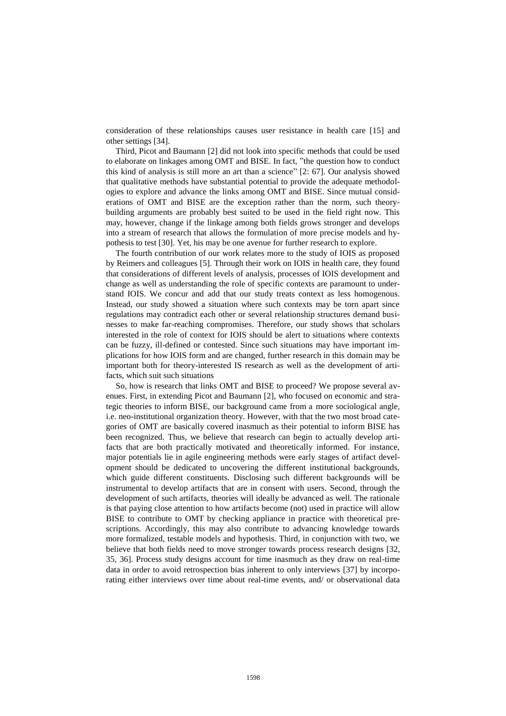consideration of these relationships causes user resistance in health care [15] and other settings [34].

Third, Picot and Baumann [2] did not look into specific methods that could be used to elaborate on linkages among OMT and BISE. In fact, "the question how to conduct this kind of analysis is still more an art than a science" [2: 67]. Our analysis showed that qualitative methods have substantial potential to provide the adequate methodologies to explore and advance the links among OMT and BISE. Since mutual considerations of OMT and BISE are the exception rather than the norm, such theorybuilding arguments are probably best suited to be used in the field right now. This may, however, change if the linkage among both fields grows stronger and develops into a stream of research that allows the formulation of more precise models and hypothesis to test [30]. Yet, his may be one avenue for further research to explore.

The fourth contribution of our work relates more to the study of IOIS as proposed by Reimers and colleagues [5]. Through their work on IOIS in health care, they found that considerations of different levels of analysis, processes of IOIS development and change as well as understanding the role of specific contexts are paramount to understand IOIS. We concur and add that our study treats context as less homogenous. Instead, our study showed a situation where such contexts may be torn apart since regulations may contradict each other or several relationship structures demand businesses to make far-reaching compromises. Therefore, our study shows that scholars interested in the role of context for IOIS should be alert to situations where contexts can be fuzzy, ill-defined or contested. Since such situations may have important implications for how IOIS form and are changed, further research in this domain may be important both for theory-interested IS research as well as the development of artifacts, which suit such situations

So, how is research that links OMT and BISE to proceed? We propose several avenues. First, in extending Picot and Baumann [2], who focused on economic and strategic theories to inform BISE, our background came from a more sociological angle, i.e. neo-institutional organization theory. However, with that the two most broad categories of OMT are basically covered inasmuch as their potential to inform BISE has been recognized. Thus, we believe that research can begin to actually develop artifacts that are both practically motivated and theoretically informed. For instance, major potentials lie in agile engineering methods were early stages of artifact development should be dedicated to uncovering the different institutional backgrounds, which guide different constituents. Disclosing such different backgrounds will be instrumental to develop artifacts that are in consent with users. Second, through the development of such artifacts, theories will ideally be advanced as well. The rationale is that paying close attention to how artifacts become (not) used in practice will allow BISE to contribute to OMT by checking appliance in practice with theoretical prescriptions. Accordingly, this may also contribute to advancing knowledge towards more formalized, testable models and hypothesis. Third, in conjunction with two, we believe that both fields need to move stronger towards process research designs [32, 35, 36]. Process study designs account for time inasmuch as they draw on real-time data in order to avoid retrospection bias inherent to only interviews [37] by incorporating either interviews over time about real-time events, and/ or observational data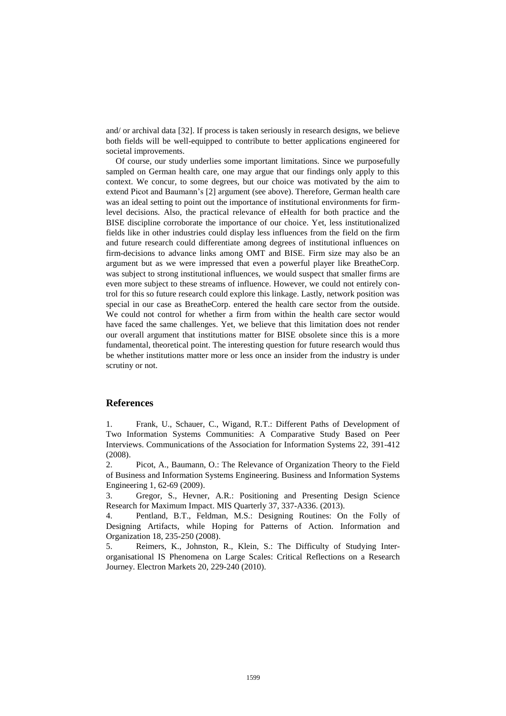and/ or archival data [32]. If process is taken seriously in research designs, we believe both fields will be well-equipped to contribute to better applications engineered for societal improvements.

Of course, our study underlies some important limitations. Since we purposefully sampled on German health care, one may argue that our findings only apply to this context. We concur, to some degrees, but our choice was motivated by the aim to extend Picot and Baumann's [2] argument (see above). Therefore, German health care was an ideal setting to point out the importance of institutional environments for firmlevel decisions. Also, the practical relevance of eHealth for both practice and the BISE discipline corroborate the importance of our choice. Yet, less institutionalized fields like in other industries could display less influences from the field on the firm and future research could differentiate among degrees of institutional influences on firm-decisions to advance links among OMT and BISE. Firm size may also be an argument but as we were impressed that even a powerful player like BreatheCorp. was subject to strong institutional influences, we would suspect that smaller firms are even more subject to these streams of influence. However, we could not entirely control for this so future research could explore this linkage. Lastly, network position was special in our case as BreatheCorp. entered the health care sector from the outside. We could not control for whether a firm from within the health care sector would have faced the same challenges. Yet, we believe that this limitation does not render our overall argument that institutions matter for BISE obsolete since this is a more fundamental, theoretical point. The interesting question for future research would thus be whether institutions matter more or less once an insider from the industry is under scrutiny or not.

## **References**

1. Frank, U., Schauer, C., Wigand, R.T.: Different Paths of Development of Two Information Systems Communities: A Comparative Study Based on Peer Interviews. Communications of the Association for Information Systems 22, 391-412 (2008).

2. Picot, A., Baumann, O.: The Relevance of Organization Theory to the Field of Business and Information Systems Engineering. Business and Information Systems Engineering 1, 62-69 (2009).

3. Gregor, S., Hevner, A.R.: Positioning and Presenting Design Science Research for Maximum Impact. MIS Quarterly 37, 337-A336. (2013).

4. Pentland, B.T., Feldman, M.S.: Designing Routines: On the Folly of Designing Artifacts, while Hoping for Patterns of Action. Information and Organization 18, 235-250 (2008).

5. Reimers, K., Johnston, R., Klein, S.: The Difficulty of Studying Interorganisational IS Phenomena on Large Scales: Critical Reflections on a Research Journey. Electron Markets 20, 229-240 (2010).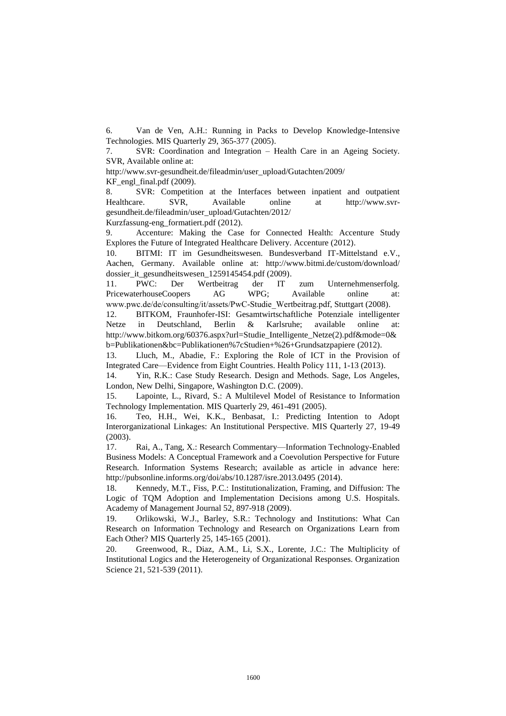6. Van de Ven, A.H.: Running in Packs to Develop Knowledge-Intensive Technologies. MIS Quarterly 29, 365-377 (2005).

7. SVR: Coordination and Integration – Health Care in an Ageing Society. SVR, Available online at:

http://www.svr-gesundheit.de/fileadmin/user\_upload/Gutachten/2009/

 $KF$  engl final.pdf (2009).

8. SVR: Competition at the Interfaces between inpatient and outpatient Healthcare. SVR, Available online at http://www.svrgesundheit.de/fileadmin/user\_upload/Gutachten/2012/

Kurzfassung-eng\_formatiert.pdf (2012).

9. Accenture: Making the Case for Connected Health: Accenture Study Explores the Future of Integrated Healthcare Delivery. Accenture (2012).

10. BITMI: IT im Gesundheitswesen. Bundesverband IT-Mittelstand e.V., Aachen, Germany. Available online at: http://www.bitmi.de/custom/download/ dossier\_it\_gesundheitswesen\_1259145454.pdf (2009).

11. PWC: Der Wertbeitrag der IT zum Unternehmenserfolg. PricewaterhouseCoopers AG WPG; Available online at: www.pwc.de/de/consulting/it/assets/PwC-Studie\_Wertbeitrag.pdf, Stuttgart (2008).

12. BITKOM, Fraunhofer-ISI: Gesamtwirtschaftliche Potenziale intelligenter Netze in Deutschland, Berlin & Karlsruhe; available online at: http://www.bitkom.org/60376.aspx?url=Studie\_Intelligente\_Netze(2).pdf&mode=0& b=Publikationen&bc=Publikationen%7cStudien+%26+Grundsatzpapiere (2012).

13. Lluch, M., Abadie, F.: Exploring the Role of ICT in the Provision of Integrated Care—Evidence from Eight Countries. Health Policy 111, 1-13 (2013).

14. Yin, R.K.: Case Study Research. Design and Methods. Sage, Los Angeles, London, New Delhi, Singapore, Washington D.C. (2009).

15. Lapointe, L., Rivard, S.: A Multilevel Model of Resistance to Information Technology Implementation. MIS Quarterly 29, 461-491 (2005).

16. Teo, H.H., Wei, K.K., Benbasat, I.: Predicting Intention to Adopt Interorganizational Linkages: An Institutional Perspective. MIS Quarterly 27, 19-49 (2003).

17. Rai, A., Tang, X.: Research Commentary—Information Technology-Enabled Business Models: A Conceptual Framework and a Coevolution Perspective for Future Research. Information Systems Research; available as article in advance here: http://pubsonline.informs.org/doi/abs/10.1287/isre.2013.0495 (2014).

18. Kennedy, M.T., Fiss, P.C.: Institutionalization, Framing, and Diffusion: The Logic of TQM Adoption and Implementation Decisions among U.S. Hospitals. Academy of Management Journal 52, 897-918 (2009).

19. Orlikowski, W.J., Barley, S.R.: Technology and Institutions: What Can Research on Information Technology and Research on Organizations Learn from Each Other? MIS Quarterly 25, 145-165 (2001).

20. Greenwood, R., Diaz, A.M., Li, S.X., Lorente, J.C.: The Multiplicity of Institutional Logics and the Heterogeneity of Organizational Responses. Organization Science 21, 521-539 (2011).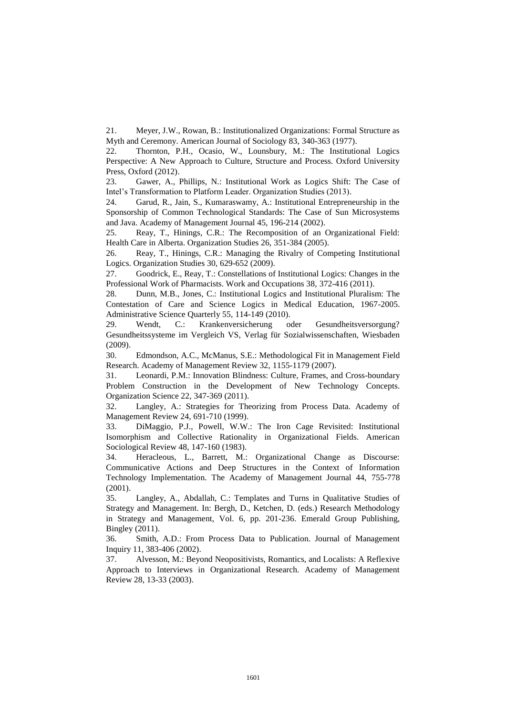21. Meyer, J.W., Rowan, B.: Institutionalized Organizations: Formal Structure as Myth and Ceremony. American Journal of Sociology 83, 340-363 (1977).

22. Thornton, P.H., Ocasio, W., Lounsbury, M.: The Institutional Logics Perspective: A New Approach to Culture, Structure and Process. Oxford University Press, Oxford (2012).

23. Gawer, A., Phillips, N.: Institutional Work as Logics Shift: The Case of Intel's Transformation to Platform Leader. Organization Studies (2013).

24. Garud, R., Jain, S., Kumaraswamy, A.: Institutional Entrepreneurship in the Sponsorship of Common Technological Standards: The Case of Sun Microsystems and Java. Academy of Management Journal 45, 196-214 (2002).

25. Reay, T., Hinings, C.R.: The Recomposition of an Organizational Field: Health Care in Alberta. Organization Studies 26, 351-384 (2005).

26. Reay, T., Hinings, C.R.: Managing the Rivalry of Competing Institutional Logics. Organization Studies 30, 629-652 (2009).

27. Goodrick, E., Reay, T.: Constellations of Institutional Logics: Changes in the Professional Work of Pharmacists. Work and Occupations 38, 372-416 (2011).

28. Dunn, M.B., Jones, C.: Institutional Logics and Institutional Pluralism: The Contestation of Care and Science Logics in Medical Education, 1967-2005. Administrative Science Quarterly 55, 114-149 (2010).

29. Wendt, C.: Krankenversicherung oder Gesundheitsversorgung? Gesundheitssysteme im Vergleich VS, Verlag für Sozialwissenschaften, Wiesbaden (2009).

30. Edmondson, A.C., McManus, S.E.: Methodological Fit in Management Field Research. Academy of Management Review 32, 1155-1179 (2007).

31. Leonardi, P.M.: Innovation Blindness: Culture, Frames, and Cross-boundary Problem Construction in the Development of New Technology Concepts. Organization Science 22, 347-369 (2011).

32. Langley, A.: Strategies for Theorizing from Process Data. Academy of Management Review 24, 691-710 (1999).

33. DiMaggio, P.J., Powell, W.W.: The Iron Cage Revisited: Institutional Isomorphism and Collective Rationality in Organizational Fields. American Sociological Review 48, 147-160 (1983).

34. Heracleous, L., Barrett, M.: Organizational Change as Discourse: Communicative Actions and Deep Structures in the Context of Information Technology Implementation. The Academy of Management Journal 44, 755-778 (2001).

35. Langley, A., Abdallah, C.: Templates and Turns in Qualitative Studies of Strategy and Management. In: Bergh, D., Ketchen, D. (eds.) Research Methodology in Strategy and Management, Vol. 6, pp. 201-236. Emerald Group Publishing, Bingley (2011).

36. Smith, A.D.: From Process Data to Publication. Journal of Management Inquiry 11, 383-406 (2002).

37. Alvesson, M.: Beyond Neopositivists, Romantics, and Localists: A Reflexive Approach to Interviews in Organizational Research. Academy of Management Review 28, 13-33 (2003).